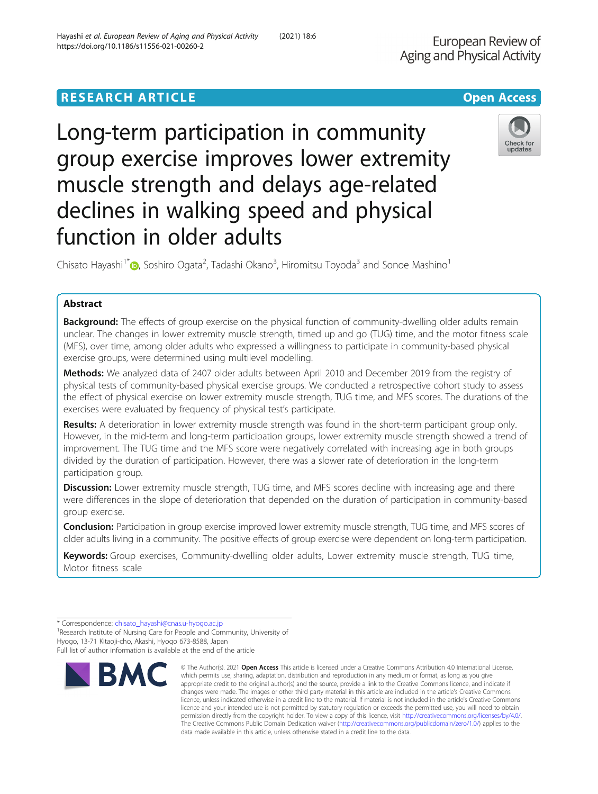# **RESEARCH ARTICLE Example 2014 12:30 The Contract of Contract ACCESS**

# Long-term participation in community group exercise improves lower extremity muscle strength and delays age-related declines in walking speed and physical function in older adults

Chisato Hayashi<sup>1[\\*](http://orcid.org/0000-0001-8819-9162)</sup> (@, Soshiro Ogata<sup>2</sup>, Tadashi Okano<sup>3</sup>, Hiromitsu Toyoda<sup>3</sup> and Sonoe Mashino<sup>1</sup>

# Abstract

**Background:** The effects of group exercise on the physical function of community-dwelling older adults remain unclear. The changes in lower extremity muscle strength, timed up and go (TUG) time, and the motor fitness scale (MFS), over time, among older adults who expressed a willingness to participate in community-based physical exercise groups, were determined using multilevel modelling.

Methods: We analyzed data of 2407 older adults between April 2010 and December 2019 from the registry of physical tests of community-based physical exercise groups. We conducted a retrospective cohort study to assess the effect of physical exercise on lower extremity muscle strength, TUG time, and MFS scores. The durations of the exercises were evaluated by frequency of physical test's participate.

Results: A deterioration in lower extremity muscle strength was found in the short-term participant group only. However, in the mid-term and long-term participation groups, lower extremity muscle strength showed a trend of improvement. The TUG time and the MFS score were negatively correlated with increasing age in both groups divided by the duration of participation. However, there was a slower rate of deterioration in the long-term participation group.

Discussion: Lower extremity muscle strength, TUG time, and MFS scores decline with increasing age and there were differences in the slope of deterioration that depended on the duration of participation in community-based group exercise.

Conclusion: Participation in group exercise improved lower extremity muscle strength, TUG time, and MFS scores of older adults living in a community. The positive effects of group exercise were dependent on long-term participation.

Keywords: Group exercises, Community-dwelling older adults, Lower extremity muscle strength, TUG time, Motor fitness scale

**BMC** 

<sup>1</sup> Research Institute of Nursing Care for People and Community, University of Hyogo, 13-71 Kitaoji-cho, Akashi, Hyogo 673-8588, Japan Full list of author information is available at the end of the article



© The Author(s), 2021 **Open Access** This article is licensed under a Creative Commons Attribution 4.0 International License,



<sup>\*</sup> Correspondence: [chisato\\_hayashi@cnas.u-hyogo.ac.jp](mailto:chisato_hayashi@cnas.u-hyogo.ac.jp) <sup>1</sup>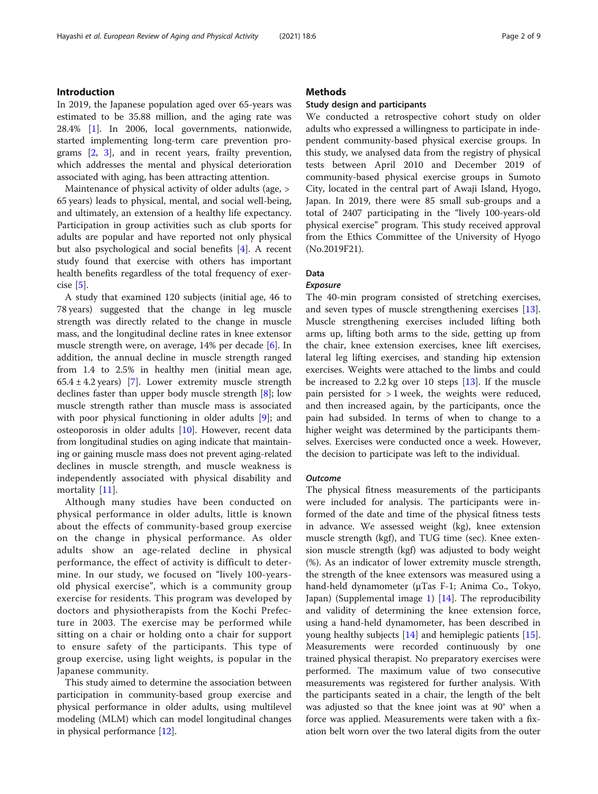# Introduction

In 2019, the Japanese population aged over 65-years was estimated to be 35.88 million, and the aging rate was 28.4% [\[1](#page-7-0)]. In 2006, local governments, nationwide, started implementing long-term care prevention programs [[2](#page-7-0), [3\]](#page-7-0), and in recent years, frailty prevention, which addresses the mental and physical deterioration associated with aging, has been attracting attention.

Maintenance of physical activity of older adults (age, > 65 years) leads to physical, mental, and social well-being, and ultimately, an extension of a healthy life expectancy. Participation in group activities such as club sports for adults are popular and have reported not only physical but also psychological and social benefits [\[4](#page-7-0)]. A recent study found that exercise with others has important health benefits regardless of the total frequency of exercise [[5\]](#page-7-0).

A study that examined 120 subjects (initial age, 46 to 78 years) suggested that the change in leg muscle strength was directly related to the change in muscle mass, and the longitudinal decline rates in knee extensor muscle strength were, on average, 14% per decade [[6\]](#page-7-0). In addition, the annual decline in muscle strength ranged from 1.4 to 2.5% in healthy men (initial mean age, 65.4  $\pm$  4.2 years) [[7\]](#page-7-0). Lower extremity muscle strength declines faster than upper body muscle strength [\[8](#page-7-0)]; low muscle strength rather than muscle mass is associated with poor physical functioning in older adults [[9\]](#page-7-0); and osteoporosis in older adults [\[10](#page-8-0)]. However, recent data from longitudinal studies on aging indicate that maintaining or gaining muscle mass does not prevent aging-related declines in muscle strength, and muscle weakness is independently associated with physical disability and mortality [[11\]](#page-8-0).

Although many studies have been conducted on physical performance in older adults, little is known about the effects of community-based group exercise on the change in physical performance. As older adults show an age-related decline in physical performance, the effect of activity is difficult to determine. In our study, we focused on "lively 100-yearsold physical exercise", which is a community group exercise for residents. This program was developed by doctors and physiotherapists from the Kochi Prefecture in 2003. The exercise may be performed while sitting on a chair or holding onto a chair for support to ensure safety of the participants. This type of group exercise, using light weights, is popular in the Japanese community.

This study aimed to determine the association between participation in community-based group exercise and physical performance in older adults, using multilevel modeling (MLM) which can model longitudinal changes in physical performance [[12\]](#page-8-0).

# **Methods**

#### Study design and participants

We conducted a retrospective cohort study on older adults who expressed a willingness to participate in independent community-based physical exercise groups. In this study, we analysed data from the registry of physical tests between April 2010 and December 2019 of community-based physical exercise groups in Sumoto City, located in the central part of Awaji Island, Hyogo, Japan. In 2019, there were 85 small sub-groups and a total of 2407 participating in the "lively 100-years-old physical exercise" program. This study received approval from the Ethics Committee of the University of Hyogo (No.2019F21).

# Data

# Exposure

The 40-min program consisted of stretching exercises, and seven types of muscle strengthening exercises [\[13](#page-8-0)]. Muscle strengthening exercises included lifting both arms up, lifting both arms to the side, getting up from the chair, knee extension exercises, knee lift exercises, lateral leg lifting exercises, and standing hip extension exercises. Weights were attached to the limbs and could be increased to 2.2 kg over 10 steps [[13](#page-8-0)]. If the muscle pain persisted for > 1 week, the weights were reduced, and then increased again, by the participants, once the pain had subsided. In terms of when to change to a higher weight was determined by the participants themselves. Exercises were conducted once a week. However, the decision to participate was left to the individual.

#### **Outcome**

The physical fitness measurements of the participants were included for analysis. The participants were informed of the date and time of the physical fitness tests in advance. We assessed weight (kg), knee extension muscle strength (kgf), and TUG time (sec). Knee extension muscle strength (kgf) was adjusted to body weight (%). As an indicator of lower extremity muscle strength, the strength of the knee extensors was measured using a hand-held dynamometer (μTas F-1; Anima Co., Tokyo, Japan) (Supplemental image [1\)](#page-7-0) [[14\]](#page-8-0). The reproducibility and validity of determining the knee extension force, using a hand-held dynamometer, has been described in young healthy subjects [[14\]](#page-8-0) and hemiplegic patients [\[15](#page-8-0)]. Measurements were recorded continuously by one trained physical therapist. No preparatory exercises were performed. The maximum value of two consecutive measurements was registered for further analysis. With the participants seated in a chair, the length of the belt was adjusted so that the knee joint was at 90° when a force was applied. Measurements were taken with a fixation belt worn over the two lateral digits from the outer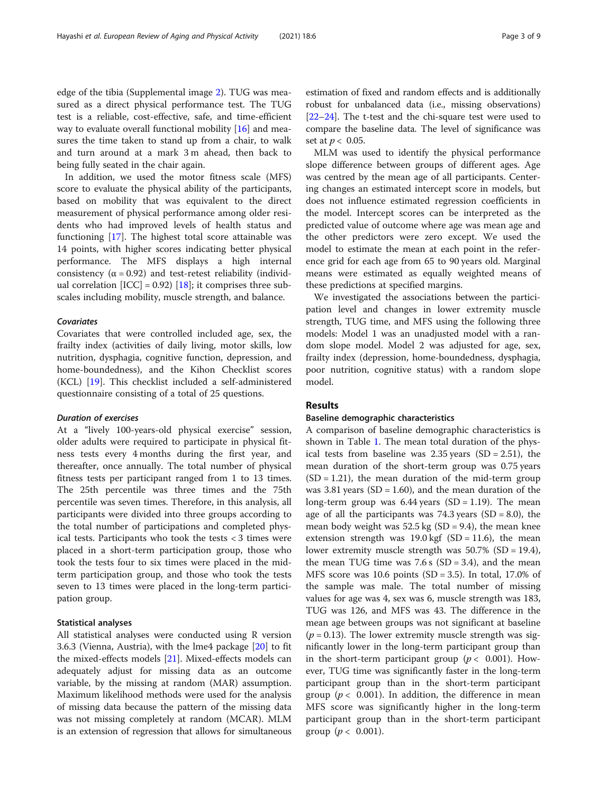sured as a direct physical performance test. The TUG test is a reliable, cost-effective, safe, and time-efficient way to evaluate overall functional mobility [\[16](#page-8-0)] and measures the time taken to stand up from a chair, to walk and turn around at a mark 3 m ahead, then back to being fully seated in the chair again.

In addition, we used the motor fitness scale (MFS) score to evaluate the physical ability of the participants, based on mobility that was equivalent to the direct measurement of physical performance among older residents who had improved levels of health status and functioning [[17\]](#page-8-0). The highest total score attainable was 14 points, with higher scores indicating better physical performance. The MFS displays a high internal consistency ( $\alpha$  = 0.92) and test-retest reliability (individual correlation  $[ICC] = 0.92$  [[18\]](#page-8-0); it comprises three subscales including mobility, muscle strength, and balance.

# Covariates

Covariates that were controlled included age, sex, the frailty index (activities of daily living, motor skills, low nutrition, dysphagia, cognitive function, depression, and home-boundedness), and the Kihon Checklist scores (KCL) [\[19](#page-8-0)]. This checklist included a self-administered questionnaire consisting of a total of 25 questions.

#### Duration of exercises

At a "lively 100-years-old physical exercise" session, older adults were required to participate in physical fitness tests every 4 months during the first year, and thereafter, once annually. The total number of physical fitness tests per participant ranged from 1 to 13 times. The 25th percentile was three times and the 75th percentile was seven times. Therefore, in this analysis, all participants were divided into three groups according to the total number of participations and completed physical tests. Participants who took the tests < 3 times were placed in a short-term participation group, those who took the tests four to six times were placed in the midterm participation group, and those who took the tests seven to 13 times were placed in the long-term participation group.

# Statistical analyses

All statistical analyses were conducted using R version 3.6.3 (Vienna, Austria), with the lme4 package [\[20](#page-8-0)] to fit the mixed-effects models [[21](#page-8-0)]. Mixed-effects models can adequately adjust for missing data as an outcome variable, by the missing at random (MAR) assumption. Maximum likelihood methods were used for the analysis of missing data because the pattern of the missing data was not missing completely at random (MCAR). MLM is an extension of regression that allows for simultaneous estimation of fixed and random effects and is additionally robust for unbalanced data (i.e., missing observations) [[22](#page-8-0)–[24\]](#page-8-0). The t-test and the chi-square test were used to compare the baseline data. The level of significance was set at  $p < 0.05$ .

MLM was used to identify the physical performance slope difference between groups of different ages. Age was centred by the mean age of all participants. Centering changes an estimated intercept score in models, but does not influence estimated regression coefficients in the model. Intercept scores can be interpreted as the predicted value of outcome where age was mean age and the other predictors were zero except. We used the model to estimate the mean at each point in the reference grid for each age from 65 to 90 years old. Marginal means were estimated as equally weighted means of these predictions at specified margins.

We investigated the associations between the participation level and changes in lower extremity muscle strength, TUG time, and MFS using the following three models: Model 1 was an unadjusted model with a random slope model. Model 2 was adjusted for age, sex, frailty index (depression, home-boundedness, dysphagia, poor nutrition, cognitive status) with a random slope model.

# Results

# Baseline demographic characteristics

A comparison of baseline demographic characteristics is shown in Table [1](#page-3-0). The mean total duration of the physical tests from baseline was  $2.35$  years (SD =  $2.51$ ), the mean duration of the short-term group was 0.75 years  $(SD = 1.21)$ , the mean duration of the mid-term group was 3.81 years (SD = 1.60), and the mean duration of the long-term group was  $6.44$  years  $(SD = 1.19)$ . The mean age of all the participants was  $74.3$  years (SD = 8.0), the mean body weight was  $52.5 \text{ kg (SD = 9.4)}$ , the mean knee extension strength was  $19.0 \text{ kgf}$  (SD = 11.6), the mean lower extremity muscle strength was  $50.7\%$  (SD = 19.4), the mean TUG time was  $7.6 s$  (SD = 3.4), and the mean MFS score was 10.6 points  $(SD = 3.5)$ . In total, 17.0% of the sample was male. The total number of missing values for age was 4, sex was 6, muscle strength was 183, TUG was 126, and MFS was 43. The difference in the mean age between groups was not significant at baseline  $(p = 0.13)$ . The lower extremity muscle strength was significantly lower in the long-term participant group than in the short-term participant group ( $p < 0.001$ ). However, TUG time was significantly faster in the long-term participant group than in the short-term participant group ( $p < 0.001$ ). In addition, the difference in mean MFS score was significantly higher in the long-term participant group than in the short-term participant group ( $p < 0.001$ ).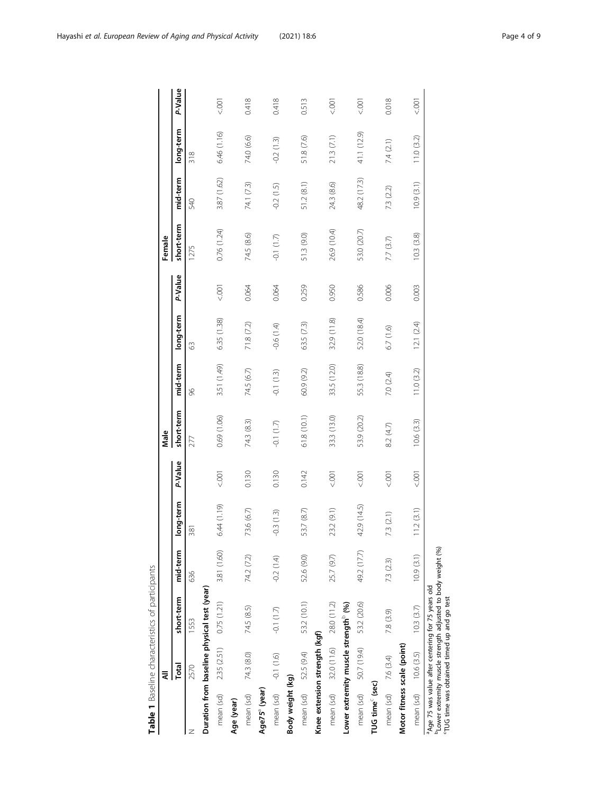<span id="page-3-0"></span>

|                             | ₹                                                |                                                                                                                    |             |                     |             | Male        |             |             |         | Female      |             |             |         |
|-----------------------------|--------------------------------------------------|--------------------------------------------------------------------------------------------------------------------|-------------|---------------------|-------------|-------------|-------------|-------------|---------|-------------|-------------|-------------|---------|
|                             | Total                                            | short-term                                                                                                         | mid-term    | ong-term            | P-Value     | short-term  | mid-term    | long-term   | P-Value | short-term  | mid-term    | long-term   | P-Value |
| z                           | 2570                                             | 1553                                                                                                               | 636         | $\overline{\infty}$ |             | 277         | 96          | 63          |         | 1275        | 540         | 318         |         |
|                             |                                                  | Duration from baseline physical test (year)                                                                        |             |                     |             |             |             |             |         |             |             |             |         |
| mean (sd)                   |                                                  | $2.35(2.51)$ 0.75 (1.21)                                                                                           | 3.81 (1.60) | 6.44 (1.19)         | 5001        | 0.69 (1.06) | 3.51 (1.49) | 6.35 (1.38) | 5001    | 0.76 (1.24) | 3.87 (1.62) | 6.46 (1.16) | 001     |
| Age (year)                  |                                                  |                                                                                                                    |             |                     |             |             |             |             |         |             |             |             |         |
| mean (sd)                   | 74.3 (8.0)                                       | 74.5 (8.5)                                                                                                         | 74.2 (7.2)  | 73.6 (6.7)          | 0.130       | 74.3 (8.3)  | 74.5 (6.7)  | 71.8 (7.2)  | 0.064   | 74.5 (8.6)  | 74.1 (7.3)  | 74.0 (6.6)  | 0.418   |
| Age75 <sup>ª</sup> (year)   |                                                  |                                                                                                                    |             |                     |             |             |             |             |         |             |             |             |         |
|                             | mean (sd) - -0.1 (1.6)                           | $-0.1(1.7)$                                                                                                        | $-0.2(1.4)$ | $-0.3(1.3)$         | 0.130       | $-0.1(1.7)$ | $-0.1(1.3)$ | $-0.6(1.4)$ | 0.064   | $-0.1(1.7)$ | $-0.2(1.5)$ | $-0.2(1.3)$ | 0.418   |
| Body weight (kg)            |                                                  |                                                                                                                    |             |                     |             |             |             |             |         |             |             |             |         |
|                             | mean (sd) 52.5 (9.4)                             | 53.2 (10.1)                                                                                                        | 52.6 (9.0)  | 53.7 (8.7)          | 0.142       | 61.8 (10.1) | 60.9 (9.2)  | 63.5 (7.3)  | 0.259   | 51.3 (9.0)  | 51.2(8.1)   | 51.8 (7.6)  | 0.513   |
|                             | Knee extension strength (kgf)                    |                                                                                                                    |             |                     |             |             |             |             |         |             |             |             |         |
|                             | mean (sd) 32.0 (11.6) 28.0 (11.2)                |                                                                                                                    | 25.7 (9.7)  | 23.2 (9.1)          | $500 - 700$ | 33.3 (13.0) | 33.5 (12.0) | 32.9 (11.8) | 0.950   | 26.9 (10.4) | 24.3(8.6)   | 21.3(7.1)   | 001     |
|                             | Lower extremity muscle strength <sup>®</sup> (%) |                                                                                                                    |             |                     |             |             |             |             |         |             |             |             |         |
| mean (sd)                   | 50.7 (19.4)                                      | 53.2 (20.6)                                                                                                        | 49.2 (17.7) | 42.9 (14.5)         | 5001        | 53.9 (20.2) | 55.3 (18.8) | 52.0 (18.4) | 0.586   | 53.0 (20.7) | 48.2 (17.3) | 41.1 (12.9) | 5001    |
| TUG time <sup>c</sup> (sec) |                                                  |                                                                                                                    |             |                     |             |             |             |             |         |             |             |             |         |
|                             | mean (sd) 7.6 (3.4)                              | 7.8 (3.9)                                                                                                          | 73 (23)     | 13(2.1)             | 5001        | 8.2 (4.7)   | 7.0 (2.4)   | 6.7(1.6)    | 0.006   | 7.7 (3.7)   | 7.3(2.2)    | 7.4 (2.1)   | 0.018   |
|                             | Motor fitness scale (point)                      |                                                                                                                    |             |                     |             |             |             |             |         |             |             |             |         |
| mean (sd)                   | 10.6(3.5)                                        | 10.3(3.7)                                                                                                          | 10.9(3.1)   | 11.2(3.1)           | 5001        | 10.6(3.3)   | 11.0 (3.2)  | 12.1 (2.4)  | 0.003   | 10.3(3.8)   | 10.9(3.1)   | 11.0 (3.2)  | 001     |
|                             | TUG time was obtained timed up and go test       | Lower extremity muscle strength adjusted to body weight (%)<br>a Age 75 was value after centering for 75 years old |             |                     |             |             |             |             |         |             |             |             |         |
|                             |                                                  |                                                                                                                    |             |                     |             |             |             |             |         |             |             |             |         |

Table 1 Baseline characteristics of participants Table 1 Baseline characteristics of participants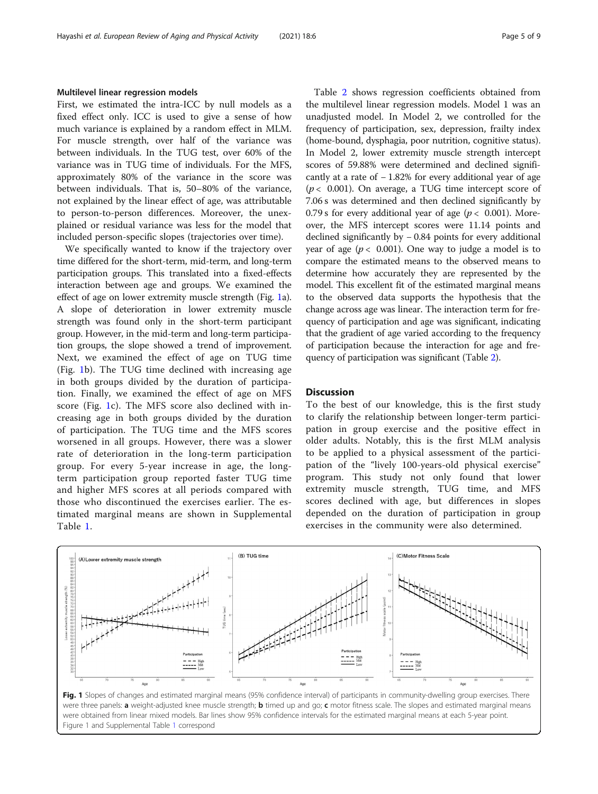# Multilevel linear regression models

First, we estimated the intra-ICC by null models as a fixed effect only. ICC is used to give a sense of how much variance is explained by a random effect in MLM. For muscle strength, over half of the variance was between individuals. In the TUG test, over 60% of the variance was in TUG time of individuals. For the MFS, approximately 80% of the variance in the score was between individuals. That is, 50–80% of the variance, not explained by the linear effect of age, was attributable to person-to-person differences. Moreover, the unexplained or residual variance was less for the model that included person-specific slopes (trajectories over time).

We specifically wanted to know if the trajectory over time differed for the short-term, mid-term, and long-term participation groups. This translated into a fixed-effects interaction between age and groups. We examined the effect of age on lower extremity muscle strength (Fig. 1a). A slope of deterioration in lower extremity muscle strength was found only in the short-term participant group. However, in the mid-term and long-term participation groups, the slope showed a trend of improvement. Next, we examined the effect of age on TUG time (Fig. 1b). The TUG time declined with increasing age in both groups divided by the duration of participation. Finally, we examined the effect of age on MFS score (Fig. 1c). The MFS score also declined with increasing age in both groups divided by the duration of participation. The TUG time and the MFS scores worsened in all groups. However, there was a slower rate of deterioration in the long-term participation group. For every 5-year increase in age, the longterm participation group reported faster TUG time and higher MFS scores at all periods compared with those who discontinued the exercises earlier. The estimated marginal means are shown in Supplemental Table [1.](#page-7-0)

Table [2](#page-5-0) shows regression coefficients obtained from the multilevel linear regression models. Model 1 was an unadjusted model. In Model 2, we controlled for the frequency of participation, sex, depression, frailty index (home-bound, dysphagia, poor nutrition, cognitive status). In Model 2, lower extremity muscle strength intercept scores of 59.88% were determined and declined significantly at a rate of − 1.82% for every additional year of age  $(p < 0.001)$ . On average, a TUG time intercept score of 7.06 s was determined and then declined significantly by 0.79 s for every additional year of age ( $p < 0.001$ ). Moreover, the MFS intercept scores were 11.14 points and declined significantly by − 0.84 points for every additional year of age ( $p < 0.001$ ). One way to judge a model is to compare the estimated means to the observed means to determine how accurately they are represented by the model. This excellent fit of the estimated marginal means to the observed data supports the hypothesis that the change across age was linear. The interaction term for frequency of participation and age was significant, indicating that the gradient of age varied according to the frequency of participation because the interaction for age and frequency of participation was significant (Table [2\)](#page-5-0).

# **Discussion**

To the best of our knowledge, this is the first study to clarify the relationship between longer-term participation in group exercise and the positive effect in older adults. Notably, this is the first MLM analysis to be applied to a physical assessment of the participation of the "lively 100-years-old physical exercise" program. This study not only found that lower extremity muscle strength, TUG time, and MFS scores declined with age, but differences in slopes depended on the duration of participation in group exercises in the community were also determined.

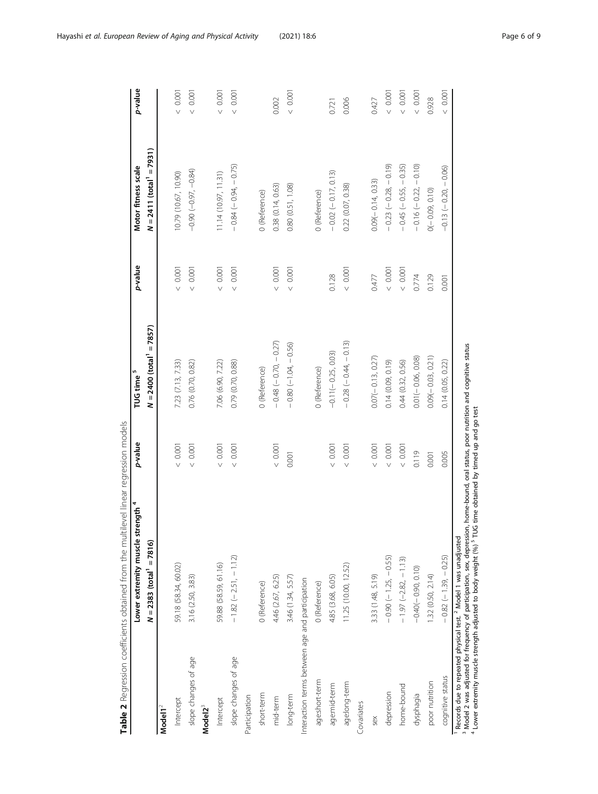<span id="page-5-0"></span>

|                                                 | Lower extremity muscle strength <sup>4</sup>                               | p-value    | TUG time <sup>5</sup>                  | p-value     | Motor fitness scale                    | p-value  |
|-------------------------------------------------|----------------------------------------------------------------------------|------------|----------------------------------------|-------------|----------------------------------------|----------|
|                                                 | $N = 2383$ (total <sup>1</sup> = 7816)                                     |            | $N = 2400$ (total <sup>1</sup> = 7857) |             | $N = 2411$ (total <sup>1</sup> = 7931) |          |
| Model1 <sup>2</sup>                             |                                                                            |            |                                        |             |                                        |          |
| Intercept                                       | 59.18 (58.34, 60.02)                                                       | 0.001      | 7.23 (7.13, 7.33)                      | $<\,$ 0.001 | 10.79 (10.67, 10.90)                   | 10000    |
| slope changes of age                            | 3.16 (2.50, 3.83)                                                          | $<0.001$   | 0.76 (0.70, 0.82)                      | $<\,0.001$  | $-0.90(-0.97, -0.84)$                  | $<0.001$ |
| Model <sub>23</sub>                             |                                                                            |            |                                        |             |                                        |          |
| Intercept                                       | 59.88 (58.59, 61.16)                                                       | $<0.001$   | 7.06 (6.90, 7.22)                      | $<\,0.001$  | 11.14 (10.97, 11.31)                   | $<0.001$ |
| slope changes of age                            | $-1.82(-2.51, -1.12)$                                                      | 0.001      | 0.79 (0.70, 0.88)                      | $<\,0.001$  | $-0.84(-0.94, -0.75)$                  | 0.001    |
| Participation                                   |                                                                            |            |                                        |             |                                        |          |
| short-term                                      | 0 (Reference)                                                              |            | 0 (Reference)                          |             | 0 (Reference)                          |          |
| mid-term                                        | 4.46 (2.67, 6.25)                                                          | $<0.001$   | $-0.48$ ( $-0.70$ , $-0.27$ )          | $<\,$ 0.001 | 0.38(0.14, 0.63)                       | 0.002    |
| long-term                                       | 3.46 (1.34, 5.57)                                                          | 0.001      | $-0.80(-1.04, -0.56)$                  | $<\,0.001$  | 0.80(0.51, 1.08)                       | 10000    |
| Interaction terms between age and participation |                                                                            |            |                                        |             |                                        |          |
| age:short-term                                  | 0 (Reference)                                                              |            | 0 (Reference)                          |             | 0 (Reference)                          |          |
| age:mid-term                                    | 4.85 (3.68, 6.05)                                                          | 0.001      | $-0.11(-0.25, 0.03)$                   | 0.128       | $-0.02(-0.17, 0.13)$                   | 0.721    |
| age:long-term                                   | 11.25 (10.00, 12.52)                                                       | 0.001      | $-0.28(-0.44, -0.13)$                  | $<0.001$    | 0.22 (0.07, 0.38)                      | 0.006    |
| Covariates                                      |                                                                            |            |                                        |             |                                        |          |
| sex                                             | 3.33 (1.48, 5.19)                                                          | $<\,0.001$ | $0.07(-0.13, 0.27)$                    | 0.477       | $0.09(-0.14, 0.33)$                    | 0.427    |
| depression                                      | $-0.90(-1.25, -0.55)$                                                      | $<0.001$   | 0.14(0.09, 0.19)                       | $<\,$ 0.001 | $0.23(-0.28, -0.19)$                   | 10000    |
| home-bound                                      | $-1.97 (-2.82, -1.13)$                                                     | $<0.001$   | 0.44 (0.32, 0.56)                      | $<\,$ 0.001 | $0.45 (-0.55, -0.35)$                  | 10000    |
| dysphagia                                       | $-0.40(-0.90, 0.10)$                                                       | 0.119      | $0.01(-0.06, 0.08)$                    | 0.774       | $-0.16(-0.22, -0.10)$                  | $<0.001$ |
| poor nutrition                                  | 1.32(0.50, 2.14)                                                           | 0.001      | $0.09(-0.03, 0.21)$                    | 0.129       | $O(-0.09, 0.10)$                       | 0.928    |
| cognitive status                                | $-0.82(-1.39, -0.25)$                                                      | 0.005      | 0.14 (0.05, 0.22)                      | 0.001       | $-0.13(-0.20, -0.06)$                  | 0.001    |
|                                                 | Records due to repeated physical test. <sup>2</sup> Model 1 was unadiusted |            |                                        |             |                                        |          |

Table 2 Regression coefficients obtained from the multilevel linear regression models Table 2 Regression coefficients obtained from the multilevel linear regression models

Records due to repeated physical test. <sup>2</sup> Model 1 was unadjusted<br><sup>3</sup> Model 2 was adjusted for frequency of participation, sex, depression, home-bound, oral status, poor nutrition and cognitive status

- w 4

 $4$  Lower extremity muscle strength adjusted to body weight (%)  $5$  TUG time obtained by timed up and go test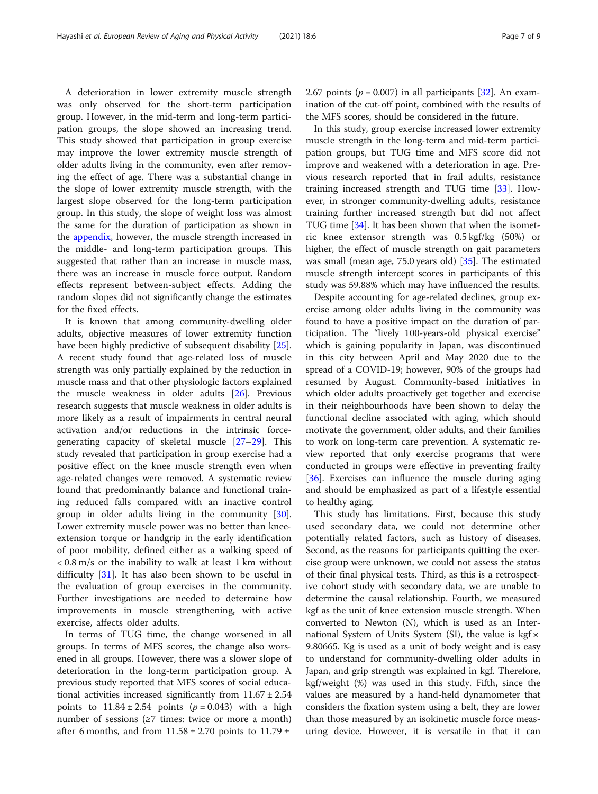A deterioration in lower extremity muscle strength was only observed for the short-term participation group. However, in the mid-term and long-term participation groups, the slope showed an increasing trend. This study showed that participation in group exercise may improve the lower extremity muscle strength of older adults living in the community, even after removing the effect of age. There was a substantial change in the slope of lower extremity muscle strength, with the largest slope observed for the long-term participation group. In this study, the slope of weight loss was almost the same for the duration of participation as shown in the [appendix](#page-7-0), however, the muscle strength increased in the middle- and long-term participation groups. This suggested that rather than an increase in muscle mass, there was an increase in muscle force output. Random effects represent between-subject effects. Adding the random slopes did not significantly change the estimates for the fixed effects.

It is known that among community-dwelling older adults, objective measures of lower extremity function have been highly predictive of subsequent disability [\[25](#page-8-0)]. A recent study found that age-related loss of muscle strength was only partially explained by the reduction in muscle mass and that other physiologic factors explained the muscle weakness in older adults [[26\]](#page-8-0). Previous research suggests that muscle weakness in older adults is more likely as a result of impairments in central neural activation and/or reductions in the intrinsic forcegenerating capacity of skeletal muscle [[27](#page-8-0)–[29\]](#page-8-0). This study revealed that participation in group exercise had a positive effect on the knee muscle strength even when age-related changes were removed. A systematic review found that predominantly balance and functional training reduced falls compared with an inactive control group in older adults living in the community [\[30](#page-8-0)]. Lower extremity muscle power was no better than kneeextension torque or handgrip in the early identification of poor mobility, defined either as a walking speed of < 0.8 m/s or the inability to walk at least 1 km without difficulty [\[31](#page-8-0)]. It has also been shown to be useful in the evaluation of group exercises in the community. Further investigations are needed to determine how improvements in muscle strengthening, with active exercise, affects older adults.

In terms of TUG time, the change worsened in all groups. In terms of MFS scores, the change also worsened in all groups. However, there was a slower slope of deterioration in the long-term participation group. A previous study reported that MFS scores of social educational activities increased significantly from  $11.67 \pm 2.54$ points to  $11.84 \pm 2.54$  points ( $p = 0.043$ ) with a high number of sessions ( $\geq$ 7 times: twice or more a month) after 6 months, and from  $11.58 \pm 2.70$  points to  $11.79 \pm 1.79$ 

2.67 points ( $p = 0.007$ ) in all participants [[32\]](#page-8-0). An examination of the cut-off point, combined with the results of the MFS scores, should be considered in the future.

In this study, group exercise increased lower extremity muscle strength in the long-term and mid-term participation groups, but TUG time and MFS score did not improve and weakened with a deterioration in age. Previous research reported that in frail adults, resistance training increased strength and TUG time [\[33](#page-8-0)]. However, in stronger community-dwelling adults, resistance training further increased strength but did not affect TUG time [[34\]](#page-8-0). It has been shown that when the isometric knee extensor strength was 0.5 kgf/kg (50%) or higher, the effect of muscle strength on gait parameters was small (mean age, 75.0 years old) [\[35](#page-8-0)]. The estimated muscle strength intercept scores in participants of this study was 59.88% which may have influenced the results.

Despite accounting for age-related declines, group exercise among older adults living in the community was found to have a positive impact on the duration of participation. The "lively 100-years-old physical exercise" which is gaining popularity in Japan, was discontinued in this city between April and May 2020 due to the spread of a COVID-19; however, 90% of the groups had resumed by August. Community-based initiatives in which older adults proactively get together and exercise in their neighbourhoods have been shown to delay the functional decline associated with aging, which should motivate the government, older adults, and their families to work on long-term care prevention. A systematic review reported that only exercise programs that were conducted in groups were effective in preventing frailty [[36\]](#page-8-0). Exercises can influence the muscle during aging and should be emphasized as part of a lifestyle essential to healthy aging.

This study has limitations. First, because this study used secondary data, we could not determine other potentially related factors, such as history of diseases. Second, as the reasons for participants quitting the exercise group were unknown, we could not assess the status of their final physical tests. Third, as this is a retrospective cohort study with secondary data, we are unable to determine the causal relationship. Fourth, we measured kgf as the unit of knee extension muscle strength. When converted to Newton (N), which is used as an International System of Units System (SI), the value is  $kgf \times$ 9.80665. Kg is used as a unit of body weight and is easy to understand for community-dwelling older adults in Japan, and grip strength was explained in kgf. Therefore, kgf/weight (%) was used in this study. Fifth, since the values are measured by a hand-held dynamometer that considers the fixation system using a belt, they are lower than those measured by an isokinetic muscle force measuring device. However, it is versatile in that it can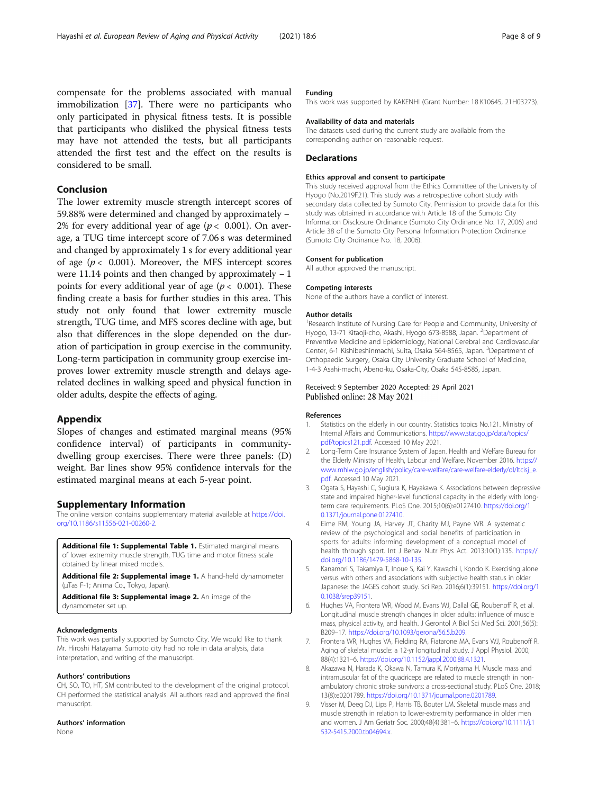<span id="page-7-0"></span>compensate for the problems associated with manual immobilization [\[37](#page-8-0)]. There were no participants who only participated in physical fitness tests. It is possible that participants who disliked the physical fitness tests may have not attended the tests, but all participants attended the first test and the effect on the results is considered to be small.

# Conclusion

The lower extremity muscle strength intercept scores of 59.88% were determined and changed by approximately − 2% for every additional year of age ( $p < 0.001$ ). On average, a TUG time intercept score of 7.06 s was determined and changed by approximately 1 s for every additional year of age ( $p < 0.001$ ). Moreover, the MFS intercept scores were 11.14 points and then changed by approximately − 1 points for every additional year of age ( $p < 0.001$ ). These finding create a basis for further studies in this area. This study not only found that lower extremity muscle strength, TUG time, and MFS scores decline with age, but also that differences in the slope depended on the duration of participation in group exercise in the community. Long-term participation in community group exercise improves lower extremity muscle strength and delays agerelated declines in walking speed and physical function in older adults, despite the effects of aging.

# Appendix

Slopes of changes and estimated marginal means (95% confidence interval) of participants in communitydwelling group exercises. There were three panels: (D) weight. Bar lines show 95% confidence intervals for the estimated marginal means at each 5-year point.

#### Supplementary Information

The online version contains supplementary material available at [https://doi.](https://doi.org/10.1186/s11556-021-00260-2) [org/10.1186/s11556-021-00260-2.](https://doi.org/10.1186/s11556-021-00260-2)

Additional file 1: Supplemental Table 1. Estimated marginal means of lower extremity muscle strength, TUG time and motor fitness scale obtained by linear mixed models.

Additional file 2: Supplemental image 1. A hand-held dynamometer (μTas F-1; Anima Co., Tokyo, Japan).

Additional file 3: Supplemental image 2. An image of the dynamometer set up.

#### Acknowledgments

This work was partially supported by Sumoto City. We would like to thank Mr. Hiroshi Hatayama. Sumoto city had no role in data analysis, data interpretation, and writing of the manuscript.

#### Authors' contributions

CH, SO, TO, HT, SM contributed to the development of the original protocol. CH performed the statistical analysis. All authors read and approved the final manuscript.

#### Authors' information

None

# Funding

This work was supported by KAKENHI (Grant Number: 18 K10645, 21H03273).

#### Availability of data and materials

The datasets used during the current study are available from the corresponding author on reasonable request.

#### **Declarations**

#### Ethics approval and consent to participate

This study received approval from the Ethics Committee of the University of Hyogo (No.2019F21). This study was a retrospective cohort study with secondary data collected by Sumoto City. Permission to provide data for this study was obtained in accordance with Article 18 of the Sumoto City Information Disclosure Ordinance (Sumoto City Ordinance No. 17, 2006) and Article 38 of the Sumoto City Personal Information Protection Ordinance (Sumoto City Ordinance No. 18, 2006).

#### Consent for publication

All author approved the manuscript.

#### Competing interests

None of the authors have a conflict of interest.

#### Author details

<sup>1</sup>Research Institute of Nursing Care for People and Community, University of Hyogo, 13-71 Kitaoji-cho, Akashi, Hyogo 673-8588, Japan. <sup>2</sup>Department of Preventive Medicine and Epidemiology, National Cerebral and Cardiovascular Center, 6-1 Kishibeshinmachi, Suita, Osaka 564-8565, Japan. <sup>3</sup>Department of Orthopaedic Surgery, Osaka City University Graduate School of Medicine, 1-4-3 Asahi-machi, Abeno-ku, Osaka-City, Osaka 545-8585, Japan.

#### Received: 9 September 2020 Accepted: 29 April 2021 Published online: 28 May 2021

#### References

- 1. Statistics on the elderly in our country. Statistics topics No.121. Ministry of Internal Affairs and Communications. [https://www.stat.go.jp/data/topics/](https://www.stat.go.jp/data/topics/pdf/topics121.pdf) [pdf/topics121.pdf.](https://www.stat.go.jp/data/topics/pdf/topics121.pdf) Accessed 10 May 2021.
- 2. Long-Term Care Insurance System of Japan. Health and Welfare Bureau for the Elderly Ministry of Health, Labour and Welfare. November 2016. [https://](https://www.mhlw.go.jp/english/policy/care-welfare/care-welfare-elderly/dl/ltcisj_e.pdf) [www.mhlw.go.jp/english/policy/care-welfare/care-welfare-elderly/dl/ltcisj\\_e.](https://www.mhlw.go.jp/english/policy/care-welfare/care-welfare-elderly/dl/ltcisj_e.pdf) [pdf](https://www.mhlw.go.jp/english/policy/care-welfare/care-welfare-elderly/dl/ltcisj_e.pdf). Accessed 10 May 2021.
- 3. Ogata S, Hayashi C, Sugiura K, Hayakawa K. Associations between depressive state and impaired higher-level functional capacity in the elderly with longterm care requirements. PLoS One. 2015;10(6):e0127410. [https://doi.org/1](https://doi.org/10.1371/journal.pone.0127410) [0.1371/journal.pone.0127410](https://doi.org/10.1371/journal.pone.0127410).
- 4. Eime RM, Young JA, Harvey JT, Charity MJ, Payne WR. A systematic review of the psychological and social benefits of participation in sports for adults: informing development of a conceptual model of health through sport. Int J Behav Nutr Phys Act. 2013;10(1):135. [https://](https://doi.org/10.1186/1479-5868-10-135) [doi.org/10.1186/1479-5868-10-135.](https://doi.org/10.1186/1479-5868-10-135)
- 5. Kanamori S, Takamiya T, Inoue S, Kai Y, Kawachi I, Kondo K. Exercising alone versus with others and associations with subjective health status in older Japanese: the JAGES cohort study. Sci Rep. 2016;6(1):39151. [https://doi.org/1](https://doi.org/10.1038/srep39151) [0.1038/srep39151](https://doi.org/10.1038/srep39151).
- 6. Hughes VA, Frontera WR, Wood M, Evans WJ, Dallal GE, Roubenoff R, et al. Longitudinal muscle strength changes in older adults: influence of muscle mass, physical activity, and health. J Gerontol A Biol Sci Med Sci. 2001;56(5): B209–17. [https://doi.org/10.1093/gerona/56.5.b209.](https://doi.org/10.1093/gerona/56.5.b209)
- 7. Frontera WR, Hughes VA, Fielding RA, Fiatarone MA, Evans WJ, Roubenoff R. Aging of skeletal muscle: a 12-yr longitudinal study. J Appl Physiol. 2000; 88(4):1321–6. <https://doi.org/10.1152/jappl.2000.88.4.1321>.
- 8. Akazawa N, Harada K, Okawa N, Tamura K, Moriyama H. Muscle mass and intramuscular fat of the quadriceps are related to muscle strength in nonambulatory chronic stroke survivors: a cross-sectional study. PLoS One. 2018; 13(8):e0201789. <https://doi.org/10.1371/journal.pone.0201789>.
- 9. Visser M, Deeg DJ, Lips P, Harris TB, Bouter LM. Skeletal muscle mass and muscle strength in relation to lower-extremity performance in older men and women. J Am Geriatr Soc. 2000;48(4):381–6. [https://doi.org/10.1111/j.1](https://doi.org/10.1111/j.1532-5415.2000.tb04694.x) [532-5415.2000.tb04694.x](https://doi.org/10.1111/j.1532-5415.2000.tb04694.x).